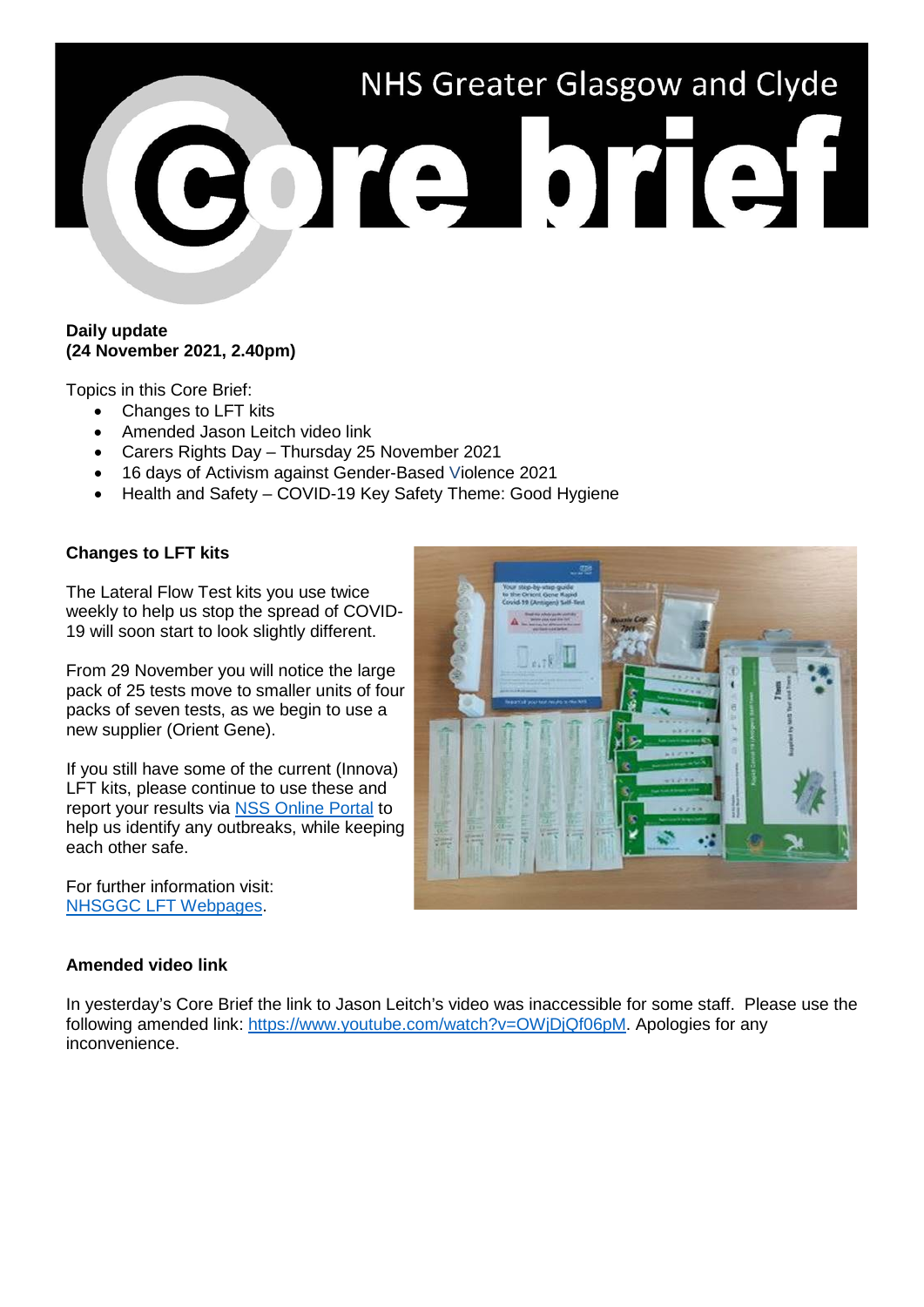# NHS Greater Glasgow and Clyde BOTA OTIST

#### **Daily update (24 November 2021, 2.40pm)**

Topics in this Core Brief:

- Changes to LFT kits
- Amended Jason Leitch video link
- Carers Rights Day Thursday 25 November 2021
- 16 days of Activism against Gender-Based Violence 2021
- Health and Safety COVID-19 Key Safety Theme: Good Hygiene

# **Changes to LFT kits**

The Lateral Flow Test kits you use twice weekly to help us stop the spread of COVID-19 will soon start to look slightly different.

From 29 November you will notice the large pack of 25 tests move to smaller units of four packs of seven tests, as we begin to use a new supplier (Orient Gene).

If you still have some of the current (Innova) LFT kits, please continue to use these and report your results via [NSS Online Portal](https://nhsnss.service-now.com/covidtesting) to help us identify any outbreaks, while keeping each other safe.

For further information visit: [NHSGGC LFT Webpages.](https://www.nhsggc.org.uk/your-health/health-issues/covid-19-coronavirus/covid-19-info-for-nhsggc-staff/lateral-flow-device-testing-guidance/)

# **Amended video link**

In yesterday's Core Brief the link to Jason Leitch's video was inaccessible for some staff. Please use the following amended link: [https://www.youtube.com/watch?v=OWjDjQf06pM.](https://www.youtube.com/watch?v=OWjDjQf06pM) Apologies for any inconvenience.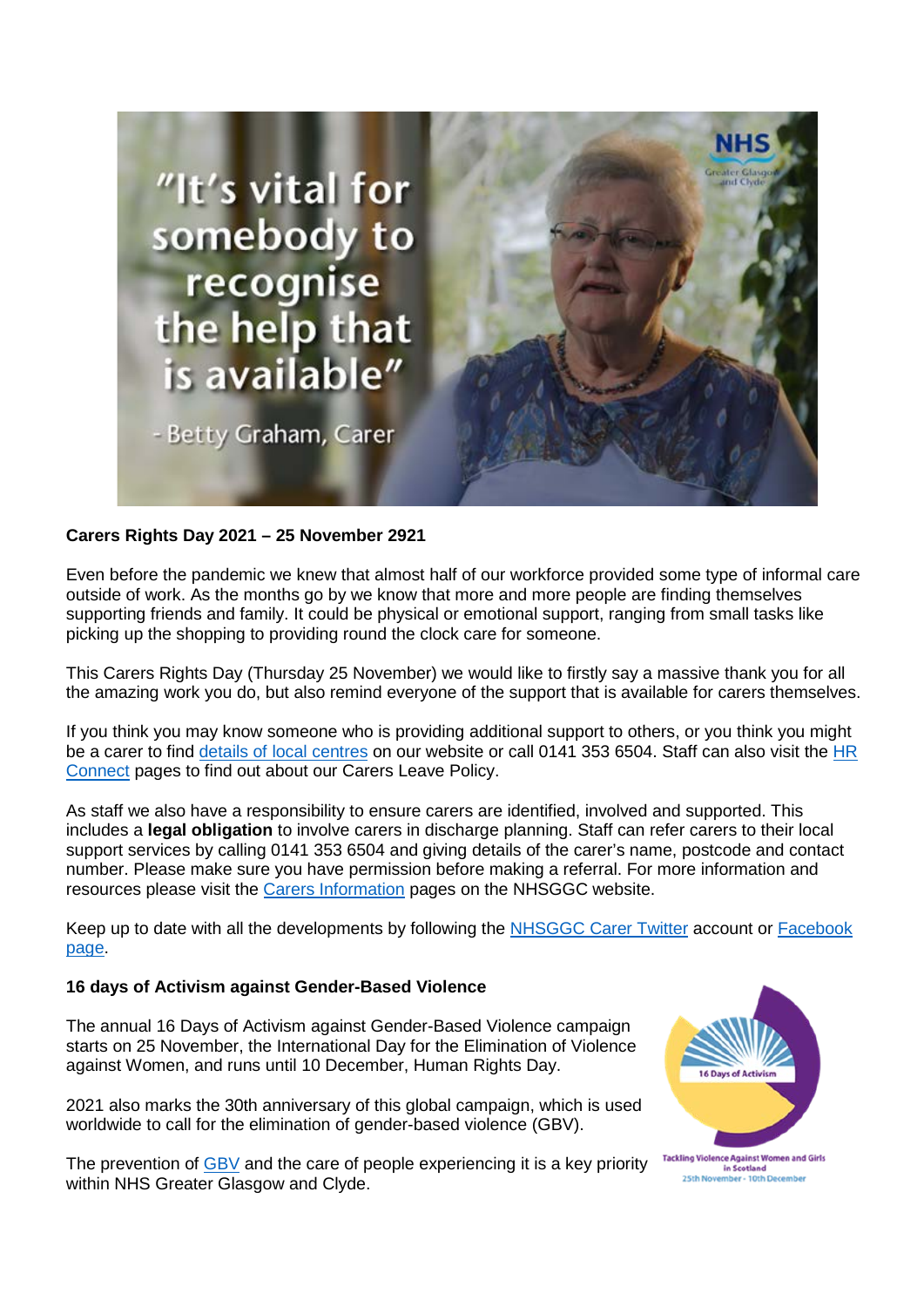

### **Carers Rights Day 2021 – 25 November 2921**

Even before the pandemic we knew that almost half of our workforce provided some type of informal care outside of work. As the months go by we know that more and more people are finding themselves supporting friends and family. It could be physical or emotional support, ranging from small tasks like picking up the shopping to providing round the clock care for someone.

This Carers Rights Day (Thursday 25 November) we would like to firstly say a massive thank you for all the amazing work you do, but also remind everyone of the support that is available for carers themselves.

If you think you may know someone who is providing additional support to others, or you think you might be a carer to find [details of local centres](https://www.nhsggc.org.uk/your-health/health-services/carers/contact-us/local-services/) on our website or call 0141 353 6504. Staff can also visit the [HR](https://www.nhsggc.org.uk/working-with-us/hr-connect/carers/)  [Connect](https://www.nhsggc.org.uk/working-with-us/hr-connect/carers/) pages to find out about our Carers Leave Policy.

As staff we also have a responsibility to ensure carers are identified, involved and supported. This includes a **legal obligation** to involve carers in discharge planning. Staff can refer carers to their local support services by calling 0141 353 6504 and giving details of the carer's name, postcode and contact number. Please make sure you have permission before making a referral. For more information and resources please visit the [Carers Information](http://www.nhsggc.org.uk/carers) pages on the NHSGGC website.

Keep up to date with all the developments by following the [NHSGGC Carer Twitter](http://www.twitter.com/nhsggccarers) account or [Facebook](http://www.facebook.com/nhsggccarers)  [page.](http://www.facebook.com/nhsggccarers)

#### **16 days of Activism against Gender-Based Violence**

The annual 16 Days of Activism against Gender-Based Violence campaign starts on 25 November, the International Day for the Elimination of Violence against Women, and runs until 10 December, Human Rights Day.

2021 also marks the 30th anniversary of this global campaign, which is used worldwide to call for the elimination of gender-based violence (GBV).

The prevention of [GBV](https://www.nhsggc.org.uk/your-health/equalities-in-health/areas-of-work/gender-based-violence-human-trafficking/) and the care of people experiencing it is a key priority within NHS Greater Glasgow and Clyde.



in Scotland 25th November - 10th December